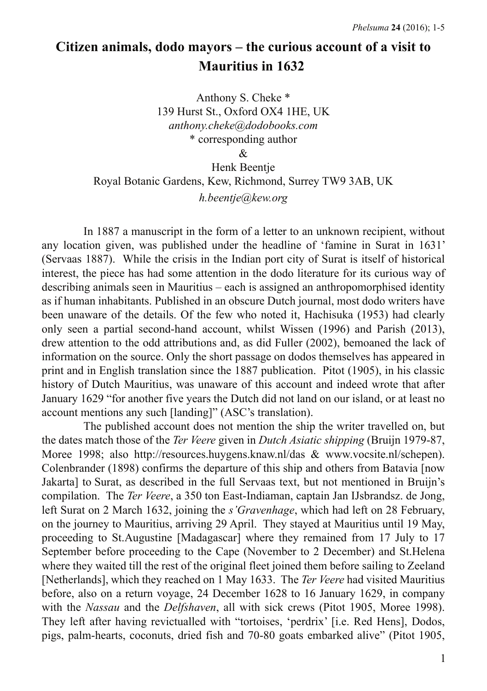# **Citizen animals, dodo mayors – the curious account of a visit to Mauritius in 1632**

Anthony S. Cheke \* 139 Hurst St., Oxford OX4 1HE, UK *anthony.cheke@dodobooks.com* \* corresponding author &

Henk Beentje Royal Botanic Gardens, Kew, Richmond, Surrey TW9 3AB, UK *h.beentje@kew.org*

In 1887 a manuscript in the form of a letter to an unknown recipient, without any location given, was published under the headline of 'famine in Surat in 1631' (Servaas 1887). While the crisis in the Indian port city of Surat is itself of historical interest, the piece has had some attention in the dodo literature for its curious way of describing animals seen in Mauritius – each is assigned an anthropomorphised identity as if human inhabitants. Published in an obscure Dutch journal, most dodo writers have been unaware of the details. Of the few who noted it, Hachisuka (1953) had clearly only seen a partial second-hand account, whilst Wissen (1996) and Parish (2013), drew attention to the odd attributions and, as did Fuller (2002), bemoaned the lack of information on the source. Only the short passage on dodos themselves has appeared in print and in English translation since the 1887 publication. Pitot (1905), in his classic history of Dutch Mauritius, was unaware of this account and indeed wrote that after January 1629 "for another five years the Dutch did not land on our island, or at least no account mentions any such [landing]" (ASC's translation).

The published account does not mention the ship the writer travelled on, but the dates match those of the *Ter Veere* given in *Dutch Asiatic shipping* (Bruijn 1979-87, Moree 1998; also http://resources.huygens.knaw.nl/das & www.vocsite.nl/schepen). Colenbrander (1898) confirms the departure of this ship and others from Batavia [now Jakarta] to Surat, as described in the full Servaas text, but not mentioned in Bruijn's compilation. The *Ter Veere*, a 350 ton East-Indiaman, captain Jan IJsbrandsz. de Jong, left Surat on 2 March 1632, joining the *s'Gravenhage*, which had left on 28 February, on the journey to Mauritius, arriving 29 April. They stayed at Mauritius until 19 May, proceeding to St.Augustine [Madagascar] where they remained from 17 July to 17 September before proceeding to the Cape (November to 2 December) and St.Helena where they waited till the rest of the original fleet joined them before sailing to Zeeland [Netherlands], which they reached on 1 May 1633. The *Ter Veere* had visited Mauritius before, also on a return voyage, 24 December 1628 to 16 January 1629, in company with the *Nassau* and the *Delfshaven*, all with sick crews (Pitot 1905, Moree 1998). They left after having revictualled with "tortoises, 'perdrix' [i.e. Red Hens], Dodos, pigs, palm-hearts, coconuts, dried fish and 70-80 goats embarked alive" (Pitot 1905,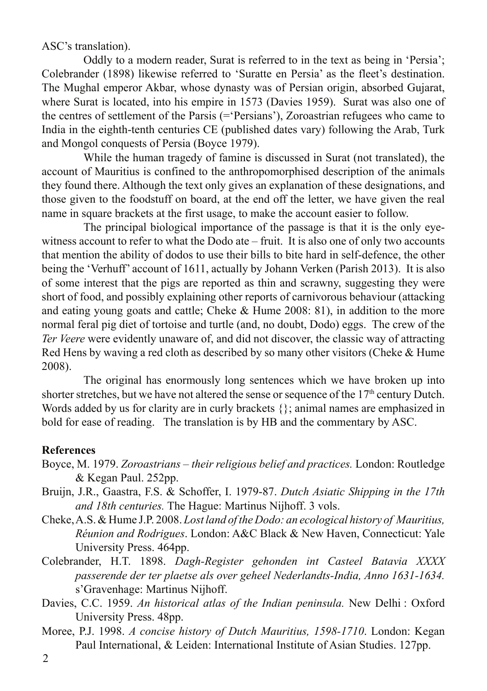ASC's translation).

Oddly to a modern reader, Surat is referred to in the text as being in 'Persia'; Colebrander (1898) likewise referred to 'Suratte en Persia' as the fleet's destination. The Mughal emperor Akbar, whose dynasty was of Persian origin, absorbed Gujarat, where Surat is located, into his empire in 1573 (Davies 1959). Surat was also one of the centres of settlement of the Parsis (='Persians'), Zoroastrian refugees who came to India in the eighth-tenth centuries CE (published dates vary) following the Arab, Turk and Mongol conquests of Persia (Boyce 1979).

While the human tragedy of famine is discussed in Surat (not translated), the account of Mauritius is confined to the anthropomorphised description of the animals they found there. Although the text only gives an explanation of these designations, and those given to the foodstuff on board, at the end off the letter, we have given the real name in square brackets at the first usage, to make the account easier to follow.

The principal biological importance of the passage is that it is the only eyewitness account to refer to what the Dodo ate – fruit. It is also one of only two accounts that mention the ability of dodos to use their bills to bite hard in self-defence, the other being the 'Verhuff' account of 1611, actually by Johann Verken (Parish 2013). It is also of some interest that the pigs are reported as thin and scrawny, suggesting they were short of food, and possibly explaining other reports of carnivorous behaviour (attacking and eating young goats and cattle; Cheke & Hume 2008: 81), in addition to the more normal feral pig diet of tortoise and turtle (and, no doubt, Dodo) eggs. The crew of the *Ter Veere* were evidently unaware of, and did not discover, the classic way of attracting Red Hens by waving a red cloth as described by so many other visitors (Cheke & Hume 2008).

The original has enormously long sentences which we have broken up into shorter stretches, but we have not altered the sense or sequence of the  $17<sup>th</sup>$  century Dutch. Words added by us for clarity are in curly brackets  $\{\}$ ; animal names are emphasized in bold for ease of reading. The translation is by HB and the commentary by ASC.

## **References**

- Boyce, M. 1979. *Zoroastrians their religious belief and practices.* London: Routledge & Kegan Paul. 252pp.
- Bruijn, J.R., Gaastra, F.S. & Schoffer, I. 1979-87. *Dutch Asiatic Shipping in the 17th and 18th centuries.* The Hague: Martinus Nijhoff. 3 vols.
- Cheke, A.S. & Hume J.P. 2008. *Lost land of the Dodo: an ecological history of Mauritius, Réunion and Rodrigues*. London: A&C Black & New Haven, Connecticut: Yale University Press. 464pp.
- Colebrander, H.T. 1898. *Dagh-Register gehonden int Casteel Batavia XXXX passerende der ter plaetse als over geheel Nederlandts-India, Anno 1631-1634.*  s'Gravenhage: Martinus Nijhoff.
- Davies, C.C. 1959. *An historical atlas of the Indian peninsula.* New Delhi : Oxford University Press. 48pp.
- Moree, P.J. 1998. *A concise history of Dutch Mauritius, 1598-1710*. London: Kegan Paul International, & Leiden: International Institute of Asian Studies. 127pp.
- $\mathcal{L}$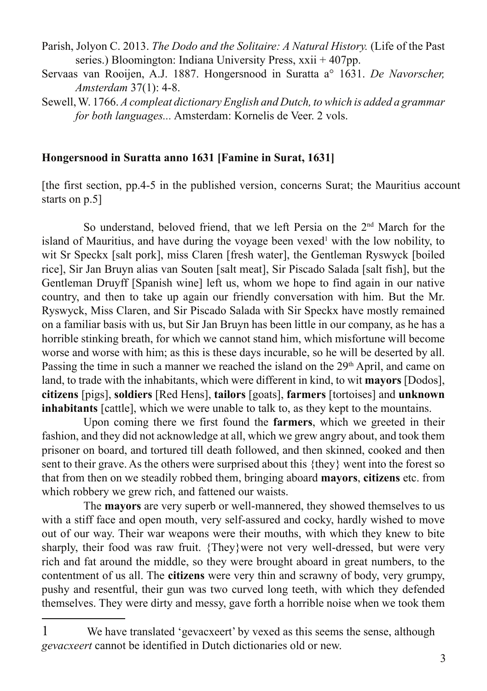- Parish, Jolyon C. 2013. *The Dodo and the Solitaire: A Natural History.* (Life of the Past series.) Bloomington: Indiana University Press, xxii + 407pp.
- Servaas van Rooijen, A.J. 1887. Hongersnood in Suratta a° 1631. *De Navorscher, Amsterdam* 37(1): 4-8.
- Sewell, W. 1766. *A compleat dictionary English and Dutch, to which is added a grammar for both languages...* Amsterdam: Kornelis de Veer. 2 vols.

#### **Hongersnood in Suratta anno 1631 [Famine in Surat, 1631]**

[the first section, pp.4-5 in the published version, concerns Surat; the Mauritius account starts on p.5]

So understand, beloved friend, that we left Persia on the 2nd March for the island of Mauritius, and have during the voyage been vexed<sup>1</sup> with the low nobility, to wit Sr Speckx [salt pork], miss Claren [fresh water], the Gentleman Ryswyck [boiled] rice], Sir Jan Bruyn alias van Souten [salt meat], Sir Piscado Salada [salt fish], but the Gentleman Druyff [Spanish wine] left us, whom we hope to find again in our native country, and then to take up again our friendly conversation with him. But the Mr. Ryswyck, Miss Claren, and Sir Piscado Salada with Sir Speckx have mostly remained on a familiar basis with us, but Sir Jan Bruyn has been little in our company, as he has a horrible stinking breath, for which we cannot stand him, which misfortune will become worse and worse with him; as this is these days incurable, so he will be deserted by all. Passing the time in such a manner we reached the island on the  $29<sup>th</sup>$  April, and came on land, to trade with the inhabitants, which were different in kind, to wit **mayors** [Dodos], **citizens** [pigs], **soldiers** [Red Hens], **tailors** [goats], **farmers** [tortoises] and **unknown inhabitants** [cattle], which we were unable to talk to, as they kept to the mountains.

Upon coming there we first found the **farmers**, which we greeted in their fashion, and they did not acknowledge at all, which we grew angry about, and took them prisoner on board, and tortured till death followed, and then skinned, cooked and then sent to their grave. As the others were surprised about this {they} went into the forest so that from then on we steadily robbed them, bringing aboard **mayors**, **citizens** etc. from which robbery we grew rich, and fattened our waists.

The **mayors** are very superb or well-mannered, they showed themselves to us with a stiff face and open mouth, very self-assured and cocky, hardly wished to move out of our way. Their war weapons were their mouths, with which they knew to bite sharply, their food was raw fruit. {They}were not very well-dressed, but were very rich and fat around the middle, so they were brought aboard in great numbers, to the contentment of us all. The **citizens** were very thin and scrawny of body, very grumpy, pushy and resentful, their gun was two curved long teeth, with which they defended themselves. They were dirty and messy, gave forth a horrible noise when we took them

We have translated 'gevacxeert' by vexed as this seems the sense, although *gevacxeert* cannot be identified in Dutch dictionaries old or new.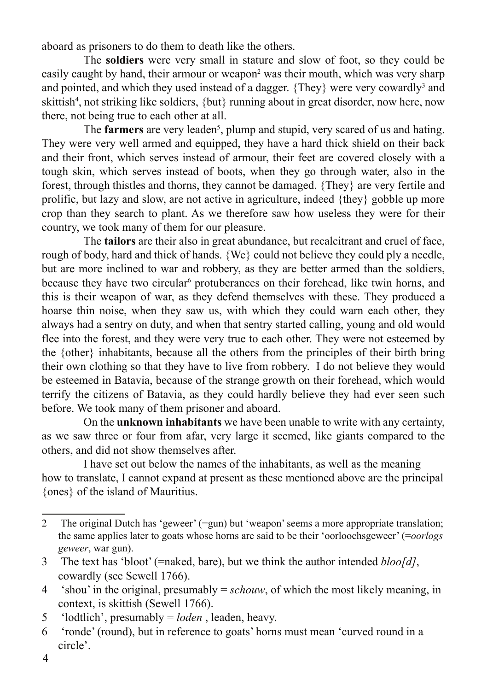aboard as prisoners to do them to death like the others.

The **soldiers** were very small in stature and slow of foot, so they could be easily caught by hand, their armour or weapon<sup>2</sup> was their mouth, which was very sharp and pointed, and which they used instead of a dagger. {They} were very cowardly<sup>3</sup> and skittish<sup>4</sup>, not striking like soldiers, {but} running about in great disorder, now here, now there, not being true to each other at all.

The **farmers** are very leaden<sup>5</sup>, plump and stupid, very scared of us and hating. They were very well armed and equipped, they have a hard thick shield on their back and their front, which serves instead of armour, their feet are covered closely with a tough skin, which serves instead of boots, when they go through water, also in the forest, through thistles and thorns, they cannot be damaged. {They} are very fertile and prolific, but lazy and slow, are not active in agriculture, indeed {they} gobble up more crop than they search to plant. As we therefore saw how useless they were for their country, we took many of them for our pleasure.

The **tailors** are their also in great abundance, but recalcitrant and cruel of face, rough of body, hard and thick of hands. {We} could not believe they could ply a needle, but are more inclined to war and robbery, as they are better armed than the soldiers, because they have two circular<sup>6</sup> protuberances on their forehead, like twin horns, and this is their weapon of war, as they defend themselves with these. They produced a hoarse thin noise, when they saw us, with which they could warn each other, they always had a sentry on duty, and when that sentry started calling, young and old would flee into the forest, and they were very true to each other. They were not esteemed by the {other} inhabitants, because all the others from the principles of their birth bring their own clothing so that they have to live from robbery. I do not believe they would be esteemed in Batavia, because of the strange growth on their forehead, which would terrify the citizens of Batavia, as they could hardly believe they had ever seen such before. We took many of them prisoner and aboard.

On the **unknown inhabitants** we have been unable to write with any certainty, as we saw three or four from afar, very large it seemed, like giants compared to the others, and did not show themselves after.

I have set out below the names of the inhabitants, as well as the meaning how to translate, I cannot expand at present as these mentioned above are the principal {ones} of the island of Mauritius.

<sup>2</sup> The original Dutch has 'geweer' (=gun) but 'weapon' seems a more appropriate translation; the same applies later to goats whose horns are said to be their 'oorloochsgeweer' (=*oorlogs geweer*, war gun).

<sup>3</sup> The text has 'bloot' (=naked, bare), but we think the author intended *bloo[d]*, cowardly (see Sewell 1766).

<sup>4 &#</sup>x27;shou' in the original, presumably = *schouw*, of which the most likely meaning, in context, is skittish (Sewell 1766).

<sup>5 &#</sup>x27;lodtlich', presumably = *loden* , leaden, heavy.

<sup>6 &#</sup>x27;ronde' (round), but in reference to goats' horns must mean 'curved round in a circle'.